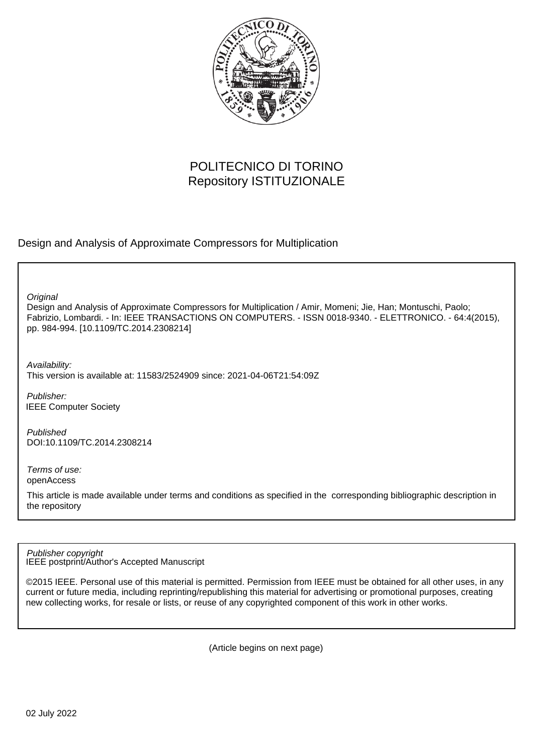

## POLITECNICO DI TORINO Repository ISTITUZIONALE

Design and Analysis of Approximate Compressors for Multiplication

**Original** 

Design and Analysis of Approximate Compressors for Multiplication / Amir, Momeni; Jie, Han; Montuschi, Paolo; Fabrizio, Lombardi. - In: IEEE TRANSACTIONS ON COMPUTERS. - ISSN 0018-9340. - ELETTRONICO. - 64:4(2015), pp. 984-994. [10.1109/TC.2014.2308214]

Availability: This version is available at: 11583/2524909 since: 2021-04-06T21:54:09Z

Publisher: IEEE Computer Society

Published DOI:10.1109/TC.2014.2308214

Terms of use: openAccess

This article is made available under terms and conditions as specified in the corresponding bibliographic description in the repository

IEEE postprint/Author's Accepted Manuscript Publisher copyright

©2015 IEEE. Personal use of this material is permitted. Permission from IEEE must be obtained for all other uses, in any current or future media, including reprinting/republishing this material for advertising or promotional purposes, creating new collecting works, for resale or lists, or reuse of any copyrighted component of this work in other works.

(Article begins on next page)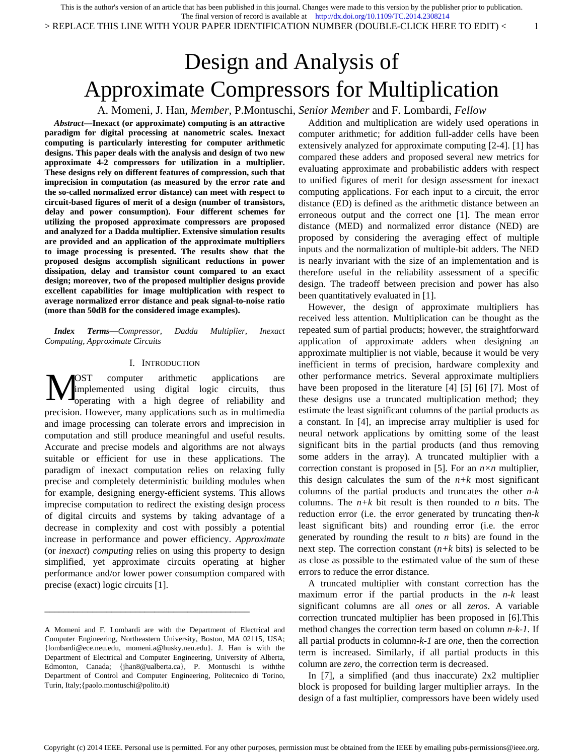This is the author's version of an article that has been published in this journal. Changes were made to this version by the publisher prior to publication. The final version of record is available at http://dx.doi.org/10.1109/TC.2014.2308214

> REPLACE THIS LINE WITH YOUR PAPER IDENTIFICATION NUMBER (DOUBLE-CLICK HERE TO EDIT) < 1

# Design and Analysis of Approximate Compressors for Multiplication

## A. Momeni, J. Han, *Member,* P.Montuschi, *Senior Member* and F. Lombardi, *Fellow*

*Abstract***—Inexact (or approximate) computing is an attractive paradigm for digital processing at nanometric scales. Inexact computing is particularly interesting for computer arithmetic designs. This paper deals with the analysis and design of two new approximate 4-2 compressors for utilization in a multiplier. These designs rely on different features of compression, such that imprecision in computation (as measured by the error rate and the so-called normalized error distance) can meet with respect to circuit-based figures of merit of a design (number of transistors, delay and power consumption). Four different schemes for utilizing the proposed approximate compressors are proposed and analyzed for a Dadda multiplier. Extensive simulation results are provided and an application of the approximate multipliers to image processing is presented. The results show that the proposed designs accomplish significant reductions in power dissipation, delay and transistor count compared to an exact design; moreover, two of the proposed multiplier designs provide excellent capabilities for image multiplication with respect to average normalized error distance and peak signal-to-noise ratio (more than 50dB for the considered image examples).** 

*Index Terms***—***Compressor, Dadda Multiplier, Inexact Computing, Approximate Circuits*

#### I. INTRODUCTION

OST computer arithmetic applications are implemented using digital logic circuits, thus operating with a high degree of reliability and precision. However, many applications such as in multimedia and image processing can tolerate errors and imprecision in computation and still produce meaningful and useful results. Accurate and precise models and algorithms are not always suitable or efficient for use in these applications. The paradigm of inexact computation relies on relaxing fully precise and completely deterministic building modules when for example, designing energy-efficient systems. This allows imprecise computation to redirect the existing design process of digital circuits and systems by taking advantage of a decrease in complexity and cost with possibly a potential increase in performance and power efficiency. *Approximate*  (or *inexact*) *computing* relies on using this property to design simplified, yet approximate circuits operating at higher performance and/or lower power consumption compared with precise (exact) logic circuits [1].  $\mathbf{M}_{\text{\tiny D}}^{\text{\tiny C}}$ 

\_\_\_\_\_\_\_\_\_\_\_\_\_\_\_\_\_\_\_\_\_\_\_\_\_\_\_\_\_\_\_\_\_\_\_\_\_\_\_\_\_\_\_

 Addition and multiplication are widely used operations in computer arithmetic; for addition full-adder cells have been extensively analyzed for approximate computing [2-4]. [1] has compared these adders and proposed several new metrics for evaluating approximate and probabilistic adders with respect to unified figures of merit for design assessment for inexact computing applications. For each input to a circuit, the error distance (ED) is defined as the arithmetic distance between an erroneous output and the correct one [1]. The mean error distance (MED) and normalized error distance (NED) are proposed by considering the averaging effect of multiple inputs and the normalization of multiple-bit adders. The NED is nearly invariant with the size of an implementation and is therefore useful in the reliability assessment of a specific design. The tradeoff between precision and power has also been quantitatively evaluated in [1].

 However, the design of approximate multipliers has received less attention. Multiplication can be thought as the repeated sum of partial products; however, the straightforward application of approximate adders when designing an approximate multiplier is not viable, because it would be very inefficient in terms of precision, hardware complexity and other performance metrics. Several approximate multipliers have been proposed in the literature [4] [5] [6] [7]. Most of these designs use a truncated multiplication method; they estimate the least significant columns of the partial products as a constant. In [4], an imprecise array multiplier is used for neural network applications by omitting some of the least significant bits in the partial products (and thus removing some adders in the array). A truncated multiplier with a correction constant is proposed in [5]. For an *n×n* multiplier, this design calculates the sum of the  $n+k$  most significant columns of the partial products and truncates the other *n-k* columns. The  $n+k$  bit result is then rounded to  $n$  bits. The reduction error (i.e. the error generated by truncating the*n-k* least significant bits) and rounding error (i.e. the error generated by rounding the result to *n* bits) are found in the next step. The correction constant (*n+k* bits) is selected to be as close as possible to the estimated value of the sum of these errors to reduce the error distance.

A truncated multiplier with constant correction has the maximum error if the partial products in the *n-k* least significant columns are all *ones* or all *zeros*. A variable correction truncated multiplier has been proposed in [6].This method changes the correction term based on column *n-k-1*. If all partial products in column*n-k-1* are *one*, then the correction term is increased. Similarly, if all partial products in this column are *zero*, the correction term is decreased.

In [7], a simplified (and thus inaccurate) 2x2 multiplier block is proposed for building larger multiplier arrays. In the design of a fast multiplier, compressors have been widely used

A Momeni and F. Lombardi are with the Department of Electrical and Computer Engineering, Northeastern University, Boston, MA 02115, USA; {lombardi@ece.neu.edu, momeni.a@husky.neu.edu}. J. Han is with the Department of Electrical and Computer Engineering, University of Alberta, Edmonton, Canada; {jhan8@ualberta.ca}, P. Montuschi is withthe Department of Control and Computer Engineering, Politecnico di Torino, Turin, Italy;{paolo.montuschi@polito.it)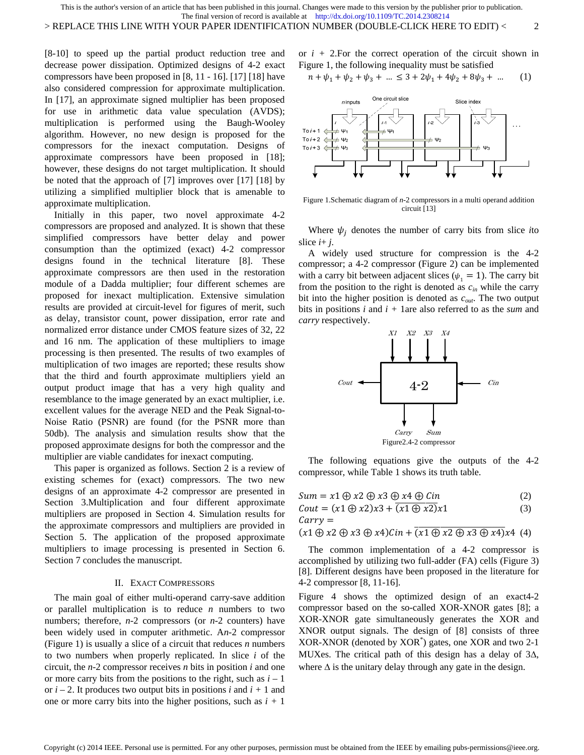[8-10] to speed up the partial product reduction tree and decrease power dissipation. Optimized designs of 4-2 exact compressors have been proposed in [8, 11 - 16]. [17] [18] have also considered compression for approximate multiplication. In [17], an approximate signed multiplier has been proposed for use in arithmetic data value speculation (AVDS); multiplication is performed using the Baugh-Wooley algorithm. However, no new design is proposed for the compressors for the inexact computation. Designs of approximate compressors have been proposed in [18]; however, these designs do not target multiplication. It should be noted that the approach of [7] improves over [17] [18] by utilizing a simplified multiplier block that is amenable to approximate multiplication.

Initially in this paper, two novel approximate 4-2 compressors are proposed and analyzed. It is shown that these simplified compressors have better delay and power consumption than the optimized (exact) 4-2 compressor designs found in the technical literature [8]. These approximate compressors are then used in the restoration module of a Dadda multiplier; four different schemes are proposed for inexact multiplication. Extensive simulation results are provided at circuit-level for figures of merit, such as delay, transistor count, power dissipation, error rate and normalized error distance under CMOS feature sizes of 32, 22 and 16 nm. The application of these multipliers to image processing is then presented. The results of two examples of multiplication of two images are reported; these results show that the third and fourth approximate multipliers yield an output product image that has a very high quality and resemblance to the image generated by an exact multiplier, i.e. excellent values for the average NED and the Peak Signal-to-Noise Ratio (PSNR) are found (for the PSNR more than 50db). The analysis and simulation results show that the proposed approximate designs for both the compressor and the multiplier are viable candidates for inexact computing.

This paper is organized as follows. Section 2 is a review of existing schemes for (exact) compressors. The two new designs of an approximate 4-2 compressor are presented in Section 3.Multiplication and four different approximate multipliers are proposed in Section 4. Simulation results for the approximate compressors and multipliers are provided in Section 5. The application of the proposed approximate multipliers to image processing is presented in Section 6. Section 7 concludes the manuscript.

#### II. EXACT COMPRESSORS

The main goal of either multi-operand carry-save addition or parallel multiplication is to reduce *n* numbers to two numbers; therefore, *n-*2 compressors (or *n-*2 counters) have been widely used in computer arithmetic. A*n-*2 compressor (Figure 1) is usually a slice of a circuit that reduces *n* numbers to two numbers when properly replicated. In slice *i* of the circuit, the *n-*2 compressor receives *n* bits in position *i* and one or more carry bits from the positions to the right, such as *i –* 1 or  $i - 2$ . It produces two output bits in positions *i* and  $i + 1$  and one or more carry bits into the higher positions, such as  $i + 1$ 

or  $i + 2$ . For the correct operation of the circuit shown in Figure 1, the following inequality must be satisfied

 $n + \psi_1 + \psi_2 + \psi_3 + \dots \leq 3 + 2\psi_1 + 4\psi_2 + 8\psi_3 + \dots$  (1)



Figure 1.Schematic diagram of *n-*2 compressors in a multi operand addition circuit [13]

Where  $\psi_i$  denotes the number of carry bits from slice *i*to slice  $i+j$ .

A widely used structure for compression is the 4-2 compressor; a 4-2 compressor (Figure 2) can be implemented with a carry bit between adjacent slices ( $\psi_1 = 1$ ). The carry bit from the position to the right is denoted as *cin* while the carry bit into the higher position is denoted as *cout*. The two output bits in positions *i* and *i +* 1are also referred to as the *sum* and *carry* respectively.



The following equations give the outputs of the 4-2 compressor, while Table 1 shows its truth table.

| $Sum = x1 \oplus x2 \oplus x3 \oplus x4 \oplus Cin$                                    | (2) |
|----------------------------------------------------------------------------------------|-----|
| $\text{Cout} = (x1 \oplus x2)x3 + (x1 \oplus x2)x1$                                    | (3) |
| $Carry =$                                                                              |     |
| $(x1 \oplus x2 \oplus x3 \oplus x4)$ Cin + $(x1 \oplus x2 \oplus x3 \oplus x4)$ x4 (4) |     |

The common implementation of a 4-2 compressor is accomplished by utilizing two full-adder (FA) cells (Figure 3) [8]. Different designs have been proposed in the literature for 4-2 compressor [8, 11-16].

Figure 4 shows the optimized design of an exact4-2 compressor based on the so-called XOR-XNOR gates [8]; a XOR-XNOR gate simultaneously generates the XOR and XNOR output signals. The design of [8] consists of three XOR-XNOR (denoted by XOR\* ) gates, one XOR and two 2-1 MUXes. The critical path of this design has a delay of 3Δ, where  $\Delta$  is the unitary delay through any gate in the design.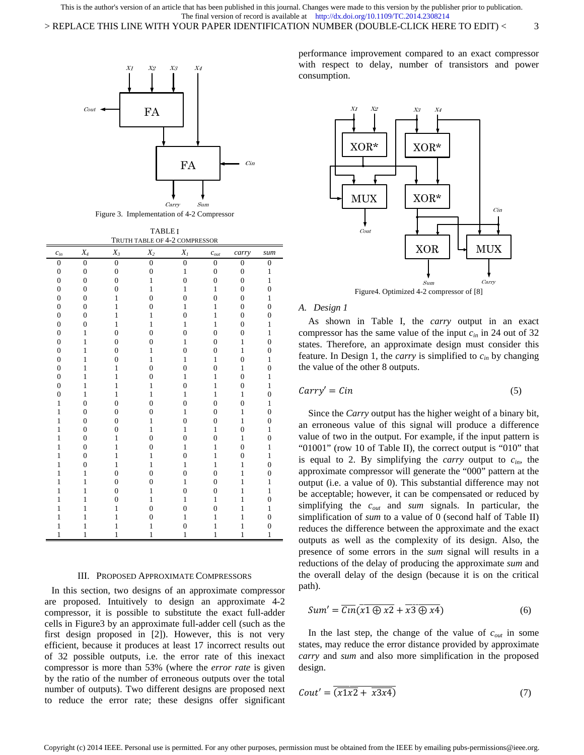> REPLACE THIS LINE WITH YOUR PAPER IDENTIFICATION NUMBER (DOUBLE-CLICK HERE TO EDIT) < 3



Figure 3. Implementation of 4-2 Compressor

| <b>TABLEI</b>                 |
|-------------------------------|
| TRUTH TABLE OF 4-2 COMPRESSOR |

| $\mathcal{C}_{in}$ | $\mathfrak{X}_4$ | $X_{\mathfrak z}$ | $\mathfrak{X}_2$ | $\mathfrak{X}_I$ | $c_{out}$        | carry            | sum              |
|--------------------|------------------|-------------------|------------------|------------------|------------------|------------------|------------------|
| $\mathbf{0}$       | $\boldsymbol{0}$ | $\overline{0}$    | $\overline{0}$   | $\boldsymbol{0}$ | $\boldsymbol{0}$ | $\boldsymbol{0}$ | $\boldsymbol{0}$ |
| $\overline{0}$     | $\mathbf{0}$     | $\overline{0}$    | $\overline{0}$   | $\mathbf{1}$     | $\overline{0}$   | $\overline{0}$   | $\mathbf{1}$     |
| $\overline{0}$     | $\overline{0}$   | $\theta$          | $\mathbf{1}$     | $\overline{0}$   | $\overline{0}$   | $\overline{0}$   | $\mathbf{1}$     |
| $\theta$           | $\theta$         | $\Omega$          | $\mathbf{1}$     | $\mathbf{1}$     | $\mathbf{1}$     | $\theta$         | $\overline{0}$   |
| $\overline{0}$     | $\theta$         | 1                 | $\overline{0}$   | $\overline{0}$   | $\overline{0}$   | $\theta$         | $\mathbf{1}$     |
| $\overline{0}$     | $\mathbf{0}$     | 1                 | $\overline{0}$   | 1                | $\mathbf{1}$     | $\theta$         | $\overline{0}$   |
| $\overline{0}$     | $\overline{0}$   | 1                 | $\mathbf{1}$     | $\overline{0}$   | $\mathbf{1}$     | $\overline{0}$   | $\boldsymbol{0}$ |
| $\mathbf{0}$       | $\overline{0}$   | 1                 | $\mathbf{1}$     | $\mathbf{1}$     | $\mathbf{1}$     | $\mathbf{0}$     | $\mathbf{1}$     |
| $\overline{0}$     | 1                | $\Omega$          | $\overline{0}$   | $\overline{0}$   | $\overline{0}$   | $\theta$         | $\mathbf{1}$     |
| $\overline{0}$     | 1                | $\Omega$          | $\overline{0}$   | 1                | $\overline{0}$   | $\mathbf{1}$     | $\overline{0}$   |
| $\overline{0}$     | 1                | $\overline{0}$    | $\mathbf{1}$     | $\overline{0}$   | $\overline{0}$   | 1                | $\overline{0}$   |
| $\mathbf{0}$       | 1                | $\overline{0}$    | $\mathbf{1}$     | $\mathbf{1}$     | $\mathbf{1}$     | $\overline{0}$   | $\mathbf{1}$     |
| $\overline{0}$     | 1                | 1                 | $\overline{0}$   | $\overline{0}$   | $\boldsymbol{0}$ | $\mathbf{1}$     | $\mathbf{0}$     |
| $\theta$           | 1                | 1                 | $\overline{0}$   | 1                | $\mathbf{1}$     | $\theta$         | $\mathbf{1}$     |
| $\overline{0}$     | 1                | 1                 | $\mathbf{1}$     | $\theta$         | $\mathbf{1}$     | $\theta$         | $\mathbf{1}$     |
| $\overline{0}$     | 1                | 1                 | $\mathbf{1}$     | 1                | $\mathbf{1}$     | 1                | $\overline{0}$   |
| $\mathbf{1}$       | $\overline{0}$   | $\overline{0}$    | $\overline{0}$   | $\overline{0}$   | $\overline{0}$   | $\overline{0}$   | $\mathbf{1}$     |
| $\mathbf{1}$       | $\mathbf{0}$     | $\theta$          | $\overline{0}$   | $\mathbf{1}$     | $\mathbf{0}$     | $\mathbf{1}$     | $\overline{0}$   |
| 1                  | $\overline{0}$   | $\Omega$          | $\mathbf{1}$     | $\theta$         | $\overline{0}$   | 1                | $\overline{0}$   |
| 1                  | $\overline{0}$   | $\Omega$          | $\mathbf{1}$     | 1                | $\mathbf{1}$     | $\theta$         | $\mathbf{1}$     |
| 1                  | $\overline{0}$   | 1                 | $\overline{0}$   | $\overline{0}$   | $\mathbf{0}$     | $\mathbf{1}$     | $\overline{0}$   |
| 1                  | $\overline{0}$   | 1                 | $\overline{0}$   | $\mathbf{1}$     | $\mathbf{1}$     | $\overline{0}$   | $\mathbf{1}$     |
| $\mathbf{1}$       | $\overline{0}$   | 1                 | $\mathbf{1}$     | $\overline{0}$   | $\mathbf{1}$     | $\overline{0}$   | $\mathbf{1}$     |
| $\mathbf{1}$       | $\mathbf{0}$     | 1                 | $\mathbf{1}$     | 1                | $\mathbf{1}$     | 1                | $\overline{0}$   |
| 1                  | 1                | $\overline{0}$    | $\theta$         | $\Omega$         | $\theta$         | 1                | $\overline{0}$   |
| 1                  | 1                | $\theta$          | $\overline{0}$   | $\mathbf{1}$     | $\overline{0}$   | 1                | $\mathbf{1}$     |
| 1                  | 1                | $\theta$          | $\mathbf{1}$     | $\overline{0}$   | $\overline{0}$   | 1                | $\mathbf{1}$     |
| 1                  | 1                | $\Omega$          | $\mathbf{1}$     | 1                | $\mathbf{1}$     | 1                | $\overline{0}$   |
| 1                  | 1                | 1                 | $\overline{0}$   | $\overline{0}$   | $\overline{0}$   | 1                | $\mathbf{1}$     |
| 1                  | 1                | 1                 | $\overline{0}$   | 1                | $\mathbf{1}$     | 1                | $\overline{0}$   |
| 1                  | 1                | 1                 | 1                | $\overline{0}$   | $\mathbf{1}$     | 1                | $\mathbf{0}$     |
| 1                  | 1                | 1                 | 1                | 1                | $\mathbf{1}$     | $\mathbf{1}$     | 1                |

#### III. PROPOSED APPROXIMATE COMPRESSORS

In this section, two designs of an approximate compressor are proposed. Intuitively to design an approximate 4-2 compressor, it is possible to substitute the exact full-adder cells in Figure3 by an approximate full-adder cell (such as the first design proposed in [2]). However, this is not very efficient, because it produces at least 17 incorrect results out of 32 possible outputs, i.e. the error rate of this inexact compressor is more than 53% (where the *error rate* is given by the ratio of the number of erroneous outputs over the total number of outputs). Two different designs are proposed next to reduce the error rate; these designs offer significant

performance improvement compared to an exact compressor with respect to delay, number of transistors and power consumption.



#### *A. Design 1*

As shown in Table I, the *carry* output in an exact compressor has the same value of the input  $c_{in}$  in 24 out of 32 states. Therefore, an approximate design must consider this feature. In Design 1, the *carry* is simplified to *cin* by changing the value of the other 8 outputs.

$$
Carry' = Cin
$$
\n<sup>(5)</sup>

Since the *Carry* output has the higher weight of a binary bit, an erroneous value of this signal will produce a difference value of two in the output. For example, if the input pattern is "01001" (row 10 of Table II), the correct output is "010" that is equal to 2. By simplifying the *carry* output to  $c_{in}$ , the approximate compressor will generate the "000" pattern at the output (i.e. a value of 0). This substantial difference may not be acceptable; however, it can be compensated or reduced by simplifying the *cout* and *sum* signals. In particular, the simplification of *sum* to a value of 0 (second half of Table II) reduces the difference between the approximate and the exact outputs as well as the complexity of its design. Also, the presence of some errors in the *sum* signal will results in a reductions of the delay of producing the approximate *sum* and the overall delay of the design (because it is on the critical path).

$$
Sum' = \overline{Cin(x1 \oplus x2} + \overline{x3 \oplus x4})
$$
\n(6)

In the last step, the change of the value of *cout* in some states, may reduce the error distance provided by approximate *carry* and *sum* and also more simplification in the proposed design.

$$
Cout' = \overline{(x1x2 + x3x4)}
$$
 (7)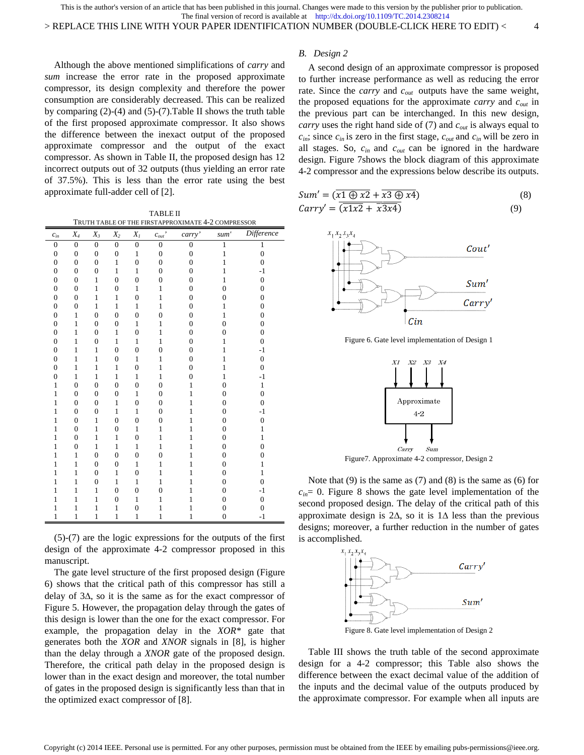Although the above mentioned simplifications of *carry* and *sum* increase the error rate in the proposed approximate compressor, its design complexity and therefore the power consumption are considerably decreased. This can be realized by comparing (2)-(4) and (5)-(7).Table II shows the truth table of the first proposed approximate compressor. It also shows the difference between the inexact output of the proposed approximate compressor and the output of the exact compressor. As shown in Table II, the proposed design has 12 incorrect outputs out of 32 outputs (thus yielding an error rate of 37.5%). This is less than the error rate using the best approximate full-adder cell of [2].

TABLE II TRUTH TABLE OF THE FIRSTAPPROXIMATE 4-2 COMPRESSOR

| $c_{in}$         | $\mathfrak{X}_4$ | $X_3$            | $X_2$          | $X_I$            | $c_{out}$ '      | carry'           | sum'           | Difference       |
|------------------|------------------|------------------|----------------|------------------|------------------|------------------|----------------|------------------|
| $\boldsymbol{0}$ | $\overline{0}$   | $\boldsymbol{0}$ | $\overline{0}$ | $\boldsymbol{0}$ | $\boldsymbol{0}$ | $\boldsymbol{0}$ | $\mathbf{1}$   | $\mathbf{1}$     |
| $\overline{0}$   | $\mathbf{0}$     | $\overline{0}$   | $\mathbf{0}$   | $\mathbf{1}$     | $\mathbf{0}$     | $\overline{0}$   | 1              | $\overline{0}$   |
| $\overline{0}$   | $\mathbf{0}$     | $\overline{0}$   | 1              | $\overline{0}$   | $\overline{0}$   | $\overline{0}$   | 1              | $\overline{0}$   |
| $\overline{0}$   | $\mathbf{0}$     | $\mathbf{0}$     | 1              | $\mathbf{1}$     | $\mathbf{0}$     | $\overline{0}$   | 1              | $-1$             |
| $\overline{0}$   | $\mathbf{0}$     | 1                | $\mathbf{0}$   | $\mathbf{0}$     | $\mathbf{0}$     | $\mathbf{0}$     | 1              | $\boldsymbol{0}$ |
| $\overline{0}$   | $\mathbf{0}$     | 1                | $\overline{0}$ | 1                | 1                | $\overline{0}$   | $\overline{0}$ | $\overline{0}$   |
| $\overline{0}$   | $\boldsymbol{0}$ | $\mathbf{1}$     | 1              | $\overline{0}$   | 1                | $\mathbf{0}$     | $\overline{0}$ | $\overline{0}$   |
| $\overline{0}$   | $\mathbf{0}$     | $\mathbf{1}$     | 1              | $\mathbf{1}$     | 1                | $\overline{0}$   | 1              | $\Omega$         |
| $\overline{0}$   | $\mathbf{1}$     | $\mathbf{0}$     | $\overline{0}$ | $\overline{0}$   | $\overline{0}$   | $\overline{0}$   | 1              | 0                |
| $\mathbf{0}$     | $\mathbf{1}$     | $\mathbf{0}$     | $\bf{0}$       | 1                | 1                | $\mathbf{0}$     | $\overline{0}$ | $\theta$         |
| $\overline{0}$   | $\mathbf{1}$     | $\overline{0}$   | 1              | $\overline{0}$   | 1                | $\overline{0}$   | $\overline{0}$ | $\overline{0}$   |
| $\overline{0}$   | 1                | $\mathbf{0}$     | 1              | 1                | 1                | $\mathbf{0}$     | 1              | $\overline{0}$   |
| $\overline{0}$   | 1                | $\mathbf{1}$     | $\overline{0}$ | $\overline{0}$   | $\mathbf{0}$     | $\overline{0}$   | 1              | $-1$             |
| $\mathbf{0}$     | 1                | $\mathbf{1}$     | $\overline{0}$ | $\mathbf{1}$     | 1                | $\mathbf{0}$     | 1              | $\overline{0}$   |
| $\overline{0}$   | 1                | 1                | 1              | $\overline{0}$   | 1                | $\overline{0}$   | 1              | $\overline{0}$   |
| $\overline{0}$   | 1                | $\mathbf{1}$     | 1              | 1                | 1                | $\mathbf{0}$     | 1              | $-1$             |
| $\mathbf{1}$     | $\overline{0}$   | $\boldsymbol{0}$ | $\mathbf{0}$   | $\overline{0}$   | $\overline{0}$   | $\mathbf{1}$     | $\overline{0}$ | $\,1\,$          |
| 1                | $\overline{0}$   | $\mathbf{0}$     | $\overline{0}$ | $\mathbf{1}$     | $\overline{0}$   | 1                | $\overline{0}$ | $\mathbf{0}$     |
| 1                | $\boldsymbol{0}$ | $\overline{0}$   | 1              | $\boldsymbol{0}$ | $\overline{0}$   | 1                | $\overline{0}$ | $\overline{0}$   |
| 1                | $\mathbf{0}$     | $\boldsymbol{0}$ | 1              | 1                | $\overline{0}$   | 1                | $\overline{0}$ | $-1$             |
| 1                | $\mathbf{0}$     | 1                | $\mathbf{0}$   | $\overline{0}$   | $\overline{0}$   | 1                | $\overline{0}$ | $\boldsymbol{0}$ |
| 1                | $\mathbf{0}$     | 1                | $\mathbf{0}$   | 1                | 1                | 1                | $\overline{0}$ | 1                |
| 1                | $\overline{0}$   | $\mathbf{1}$     | 1              | $\mathbf{0}$     | 1                | 1                | $\overline{0}$ | 1                |
| 1                | $\mathbf{0}$     | 1                | 1              | 1                | 1                | 1                | 0              | $\Omega$         |
| 1                | $\mathbf{1}$     | $\overline{0}$   | $\overline{0}$ | $\overline{0}$   | $\overline{0}$   | 1                | $\overline{0}$ | $\overline{0}$   |
| 1                | 1                | $\mathbf{0}$     | $\mathbf{0}$   | $\mathbf{1}$     | 1                | 1                | $\overline{0}$ | 1                |
| 1                | 1                | $\mathbf{0}$     | 1              | $\mathbf{0}$     | 1                | 1                | $\overline{0}$ | 1                |
| 1                | 1                | $\mathbf{0}$     | 1              | 1                | 1                | 1                | $\overline{0}$ | $\overline{0}$   |
| 1                | 1                | 1                | $\overline{0}$ | $\overline{0}$   | $\overline{0}$   | 1                | $\theta$       | $-1$             |
| 1                | 1                | 1                | $\mathbf{0}$   | 1                | 1                | 1                | $\overline{0}$ | $\boldsymbol{0}$ |
| 1                | 1                | $\mathbf{1}$     | 1              | $\boldsymbol{0}$ | 1                | 1                | $\mathbf{0}$   | $\boldsymbol{0}$ |
| 1                | 1                | 1                | $\mathbf{1}$   | 1                | 1                | 1                | $\mathbf{0}$   | $-1$             |

(5)-(7) are the logic expressions for the outputs of the first design of the approximate 4-2 compressor proposed in this manuscript.

The gate level structure of the first proposed design (Figure 6) shows that the critical path of this compressor has still a delay of 3Δ, so it is the same as for the exact compressor of Figure 5. However, the propagation delay through the gates of this design is lower than the one for the exact compressor. For example, the propagation delay in the *XOR\** gate that generates both the *XOR* and *XNOR* signals in [8], is higher than the delay through a *XNOR* gate of the proposed design. Therefore, the critical path delay in the proposed design is lower than in the exact design and moreover, the total number of gates in the proposed design is significantly less than that in the optimized exact compressor of [8].

#### *B. Design 2*

A second design of an approximate compressor is proposed to further increase performance as well as reducing the error rate. Since the *carry* and  $c_{out}$  outputs have the same weight, the proposed equations for the approximate *carry* and *cout* in the previous part can be interchanged. In this new design, *carry* uses the right hand side of (7) and  $c_{out}$  is always equal to  $c_{in}$ ; since  $c_{in}$  is zero in the first stage,  $c_{out}$  and  $c_{in}$  will be zero in all stages. So, *cin* and *cout* can be ignored in the hardware design. Figure 7shows the block diagram of this approximate 4-2 compressor and the expressions below describe its outputs.

$$
Sum' = (\overline{x1} \oplus \overline{x2} + \overline{x3} \oplus \overline{x4})
$$
\n
$$
Carry' = (\overline{x1x2} + \overline{x3x4})
$$
\n(8)\n(9)



Figure 6. Gate level implementation of Design 1



Figure7. Approximate 4-2 compressor, Design 2

Note that (9) is the same as (7) and (8) is the same as (6) for  $c_{in}$  = 0. Figure 8 shows the gate level implementation of the second proposed design. The delay of the critical path of this approximate design is  $2\Delta$ , so it is  $1\Delta$  less than the previous designs; moreover, a further reduction in the number of gates is accomplished.



Figure 8. Gate level implementation of Design 2

Table III shows the truth table of the second approximate design for a 4-2 compressor; this Table also shows the difference between the exact decimal value of the addition of the inputs and the decimal value of the outputs produced by the approximate compressor. For example when all inputs are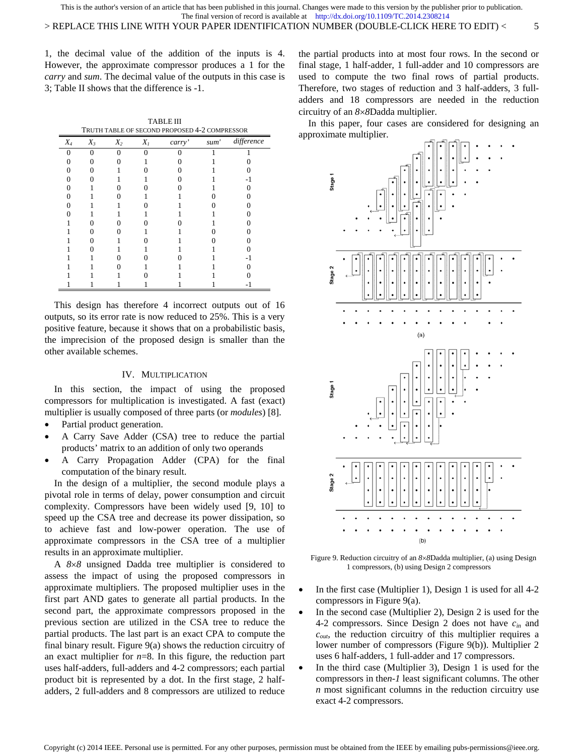1, the decimal value of the addition of the inputs is 4. However, the approximate compressor produces a 1 for the *carry* and *sum*. The decimal value of the outputs in this case is 3; Table II shows that the difference is -1.

TABLE III Truth table of second proposed  $4.2$  compressor

| TRO HIT LADLE OF SET<br>UND I NUI<br>.<br><b>T-2 COMILINEDDUN</b> |       |       |       |        |      |            |
|-------------------------------------------------------------------|-------|-------|-------|--------|------|------------|
| $X_4$                                                             | $X_3$ | $X_2$ | $X_I$ | carry' | sum' | difference |
|                                                                   |       |       |       |        |      |            |
|                                                                   |       |       |       |        |      |            |
|                                                                   |       |       |       |        |      |            |
|                                                                   |       |       |       |        |      |            |
|                                                                   |       |       |       |        |      |            |
|                                                                   |       |       |       |        |      |            |
|                                                                   |       |       |       |        |      |            |
|                                                                   |       |       |       |        |      |            |
|                                                                   |       |       |       |        |      |            |
|                                                                   |       |       |       |        |      |            |
|                                                                   |       |       |       |        |      |            |
|                                                                   |       |       |       |        |      |            |
|                                                                   |       |       |       |        |      |            |
|                                                                   |       |       |       |        |      |            |
|                                                                   |       |       |       |        |      |            |
|                                                                   |       |       |       |        |      |            |

This design has therefore 4 incorrect outputs out of 16 outputs, so its error rate is now reduced to 25%. This is a very positive feature, because it shows that on a probabilistic basis, the imprecision of the proposed design is smaller than the other available schemes.

#### IV. MULTIPLICATION

In this section, the impact of using the proposed compressors for multiplication is investigated. A fast (exact) multiplier is usually composed of three parts (or *modules*) [8].

- Partial product generation.
- A Carry Save Adder (CSA) tree to reduce the partial products' matrix to an addition of only two operands
- A Carry Propagation Adder (CPA) for the final computation of the binary result.

In the design of a multiplier, the second module plays a pivotal role in terms of delay, power consumption and circuit complexity. Compressors have been widely used [9, 10] to speed up the CSA tree and decrease its power dissipation, so to achieve fast and low-power operation. The use of approximate compressors in the CSA tree of a multiplier results in an approximate multiplier.

A *8*×*8* unsigned Dadda tree multiplier is considered to assess the impact of using the proposed compressors in approximate multipliers. The proposed multiplier uses in the first part AND gates to generate all partial products. In the second part, the approximate compressors proposed in the previous section are utilized in the CSA tree to reduce the partial products. The last part is an exact CPA to compute the final binary result. Figure 9(a) shows the reduction circuitry of an exact multiplier for *n*=8. In this figure, the reduction part uses half-adders, full-adders and 4-2 compressors; each partial product bit is represented by a dot. In the first stage, 2 halfadders, 2 full-adders and 8 compressors are utilized to reduce

the partial products into at most four rows. In the second or final stage, 1 half-adder, 1 full-adder and 10 compressors are used to compute the two final rows of partial products. Therefore, two stages of reduction and 3 half-adders, 3 fulladders and 18 compressors are needed in the reduction circuitry of an *8*×*8*Dadda multiplier.

In this paper, four cases are considered for designing an approximate multiplier.



Figure 9. Reduction circuitry of an *8*×*8*Dadda multiplier, (a) using Design 1 compressors, (b) using Design 2 compressors

- In the first case (Multiplier 1), Design 1 is used for all 4-2 compressors in Figure 9(a).
- In the second case (Multiplier 2), Design 2 is used for the 4-2 compressors. Since Design 2 does not have *cin* and *cout*, the reduction circuitry of this multiplier requires a lower number of compressors (Figure 9(b)). Multiplier 2 uses 6 half-adders, 1 full-adder and 17 compressors.
- In the third case (Multiplier 3), Design 1 is used for the compressors in the*n-1* least significant columns. The other *n* most significant columns in the reduction circuitry use exact 4-2 compressors.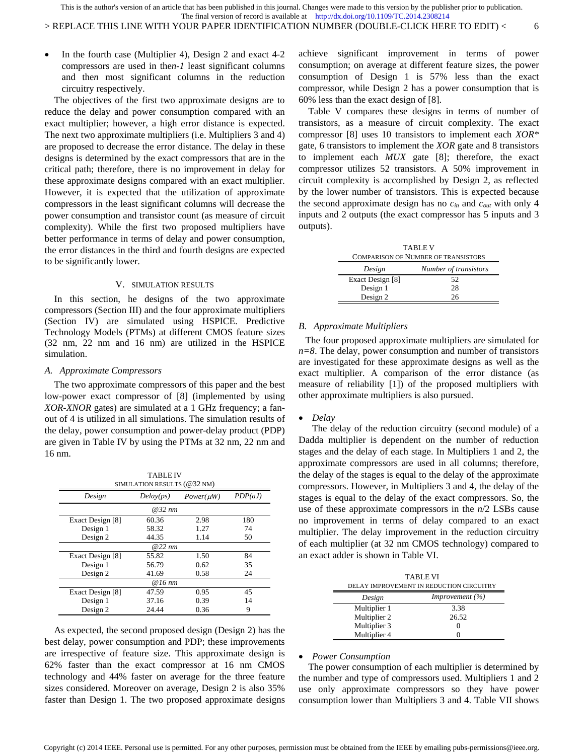In the fourth case (Multiplier 4), Design 2 and exact 4-2 compressors are used in the*n-1* least significant columns and the*n* most significant columns in the reduction circuitry respectively.

The objectives of the first two approximate designs are to reduce the delay and power consumption compared with an exact multiplier; however, a high error distance is expected. The next two approximate multipliers (i.e. Multipliers 3 and 4) are proposed to decrease the error distance. The delay in these designs is determined by the exact compressors that are in the critical path; therefore, there is no improvement in delay for these approximate designs compared with an exact multiplier. However, it is expected that the utilization of approximate compressors in the least significant columns will decrease the power consumption and transistor count (as measure of circuit complexity). While the first two proposed multipliers have better performance in terms of delay and power consumption, the error distances in the third and fourth designs are expected to be significantly lower.

#### V. SIMULATION RESULTS

 In this section, he designs of the two approximate compressors (Section III) and the four approximate multipliers (Section IV) are simulated using HSPICE. Predictive Technology Models (PTMs) at different CMOS feature sizes (32 nm, 22 nm and 16 nm) are utilized in the HSPICE simulation.

#### *A. Approximate Compressors*

The two approximate compressors of this paper and the best low-power exact compressor of [8] (implemented by using *XOR-XNOR* gates) are simulated at a 1 GHz frequency; a fanout of 4 is utilized in all simulations. The simulation results of the delay, power consumption and power-delay product (PDP) are given in Table IV by using the PTMs at 32 nm, 22 nm and 16 nm.

TABLE IV SIMULATION RESULTS (@32 NM)

| Design           | Delay(ps) | $Power(\mu W)$ | PDP(aJ) |
|------------------|-----------|----------------|---------|
|                  | @32~nm    |                |         |
| Exact Design [8] | 60.36     | 2.98           | 180     |
| Design 1         | 58.32     | 1.27           | 74      |
| Design 2         | 44.35     | 1.14           | 50      |
|                  | $@22$ nm  |                |         |
| Exact Design [8] | 55.82     | 1.50           | 84      |
| Design 1         | 56.79     | 0.62           | 35      |
| Design 2         | 41.69     | 0.58           | 24      |
|                  | $@16$ nm  |                |         |
| Exact Design [8] | 47.59     | 0.95           | 45      |
| Design 1         | 37.16     | 0.39           | 14      |
| Design 2         | 24.44     | 0.36           | 9       |

As expected, the second proposed design (Design 2) has the best delay, power consumption and PDP; these improvements are irrespective of feature size. This approximate design is 62% faster than the exact compressor at 16 nm CMOS technology and 44% faster on average for the three feature sizes considered. Moreover on average, Design 2 is also 35% faster than Design 1. The two proposed approximate designs achieve significant improvement in terms of power consumption; on average at different feature sizes, the power consumption of Design 1 is 57% less than the exact compressor, while Design 2 has a power consumption that is 60% less than the exact design of [8].

Table V compares these designs in terms of number of transistors, as a measure of circuit complexity. The exact compressor [8] uses 10 transistors to implement each *XOR\** gate, 6 transistors to implement the *XOR* gate and 8 transistors to implement each *MUX* gate [8]; therefore, the exact compressor utilizes 52 transistors. A 50% improvement in circuit complexity is accomplished by Design 2, as reflected by the lower number of transistors. This is expected because the second approximate design has no *cin* and *cout* with only 4 inputs and 2 outputs (the exact compressor has 5 inputs and 3 outputs).

| <b>TABLE V</b>                             |                       |  |  |
|--------------------------------------------|-----------------------|--|--|
| <b>COMPARISON OF NUMBER OF TRANSISTORS</b> |                       |  |  |
| Design                                     | Number of transistors |  |  |
| Exact Design [8]                           | 52                    |  |  |
| Design 1                                   | 28                    |  |  |
| Design 2                                   | 26                    |  |  |

#### *B. Approximate Multipliers*

The four proposed approximate multipliers are simulated for *n=8*. The delay, power consumption and number of transistors are investigated for these approximate designs as well as the exact multiplier. A comparison of the error distance (as measure of reliability [1]) of the proposed multipliers with other approximate multipliers is also pursued.

#### • *Delay*

The delay of the reduction circuitry (second module) of a Dadda multiplier is dependent on the number of reduction stages and the delay of each stage. In Multipliers 1 and 2, the approximate compressors are used in all columns; therefore, the delay of the stages is equal to the delay of the approximate compressors. However, in Multipliers 3 and 4, the delay of the stages is equal to the delay of the exact compressors. So, the use of these approximate compressors in the *n*/2 LSBs cause no improvement in terms of delay compared to an exact multiplier. The delay improvement in the reduction circuitry of each multiplier (at 32 nm CMOS technology) compared to an exact adder is shown in Table VI.

|              | <b>TABLE VI</b>                          |
|--------------|------------------------------------------|
|              | DELAY IMPROVEMENT IN REDUCTION CIRCUITRY |
| Design       | Improvement $(\% )$                      |
| Multiplier 1 | 3.38                                     |
| Multiplier 2 | 26.52                                    |
| Multiplier 3 | 0                                        |
| Multiplier 4 |                                          |

#### • *Power Consumption*

The power consumption of each multiplier is determined by the number and type of compressors used. Multipliers 1 and 2 use only approximate compressors so they have power consumption lower than Multipliers 3 and 4. Table VII shows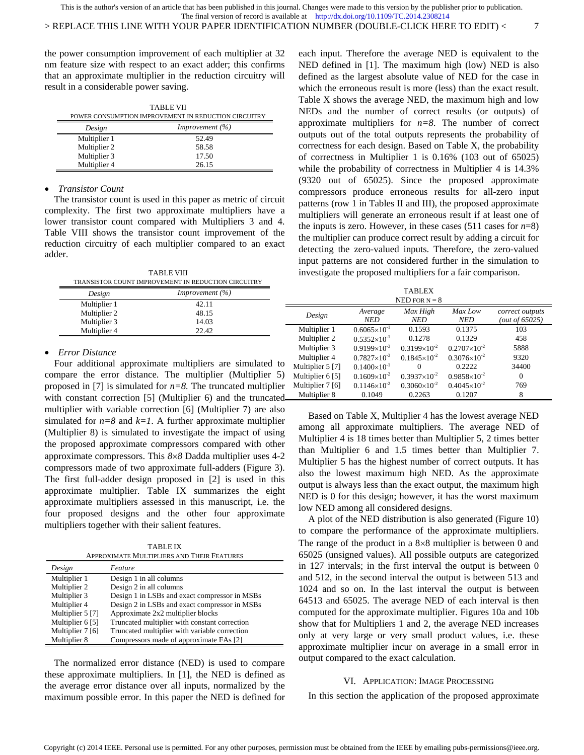the power consumption improvement of each multiplier at 32 nm feature size with respect to an exact adder; this confirms that an approximate multiplier in the reduction circuitry will result in a considerable power saving.

|                                                      | <b>TABLE VII</b>          |  |  |
|------------------------------------------------------|---------------------------|--|--|
| POWER CONSUMPTION IMPROVEMENT IN REDUCTION CIRCUITRY |                           |  |  |
| Design                                               | <i>Improvement</i> $(\%)$ |  |  |
| Multiplier 1                                         | 52.49                     |  |  |
| Multiplier 2                                         | 58.58                     |  |  |
| Multiplier 3                                         | 17.50                     |  |  |
| Multiplier 4                                         | 26.15                     |  |  |

### • *Transistor Count*

The transistor count is used in this paper as metric of circuit complexity. The first two approximate multipliers have a lower transistor count compared with Multipliers 3 and 4. Table VIII shows the transistor count improvement of the reduction circuitry of each multiplier compared to an exact adder.

| <b>TABLE VIII</b>                                   |
|-----------------------------------------------------|
| TRANSISTOR COUNT IMPROVEMENT IN REDUCTION CIRCUITRY |
|                                                     |

| Design       | <i>Improvement</i> $(\%)$ |
|--------------|---------------------------|
| Multiplier 1 | 42.11                     |
| Multiplier 2 | 48.15                     |
| Multiplier 3 | 14.03                     |
| Multiplier 4 | 22.42                     |

#### • *Error Distance*

Four additional approximate multipliers are simulated to compare the error distance. The multiplier (Multiplier 5) proposed in [7] is simulated for  $n=8$ . The truncated multiplier with constant correction [5] (Multiplier 6) and the truncated multiplier with variable correction [6] (Multiplier 7) are also simulated for  $n=8$  and  $k=1$ . A further approximate multiplier (Multiplier 8) is simulated to investigate the impact of using the proposed approximate compressors compared with other approximate compressors. This *8*×*8* Dadda multiplier uses 4-2 compressors made of two approximate full-adders (Figure 3). The first full-adder design proposed in [2] is used in this approximate multiplier. Table IX summarizes the eight approximate multipliers assessed in this manuscript, i.e. the four proposed designs and the other four approximate multipliers together with their salient features.

TABLE IX APPROXIMATE MULTIPLIERS AND THEIR FEATURES

|                  | 711 FROMMATE MOLTH LILRO ARD THEIR FLATORES   |
|------------------|-----------------------------------------------|
| Design           | Feature                                       |
| Multiplier 1     | Design 1 in all columns                       |
| Multiplier 2     | Design 2 in all columns                       |
| Multiplier 3     | Design 1 in LSBs and exact compressor in MSBs |
| Multiplier 4     | Design 2 in LSBs and exact compressor in MSBs |
| Multiplier 5 [7] | Approximate 2x2 multiplier blocks             |
| Multiplier 6 [5] | Truncated multiplier with constant correction |
| Multiplier 7 [6] | Truncated multiplier with variable correction |
| Multiplier 8     | Compressors made of approximate FAs [2]       |

The normalized error distance (NED) is used to compare these approximate multipliers. In [1], the NED is defined as the average error distance over all inputs, normalized by the maximum possible error. In this paper the NED is defined for each input. Therefore the average NED is equivalent to the NED defined in [1]. The maximum high (low) NED is also defined as the largest absolute value of NED for the case in which the erroneous result is more (less) than the exact result. Table X shows the average NED, the maximum high and low NEDs and the number of correct results (or outputs) of approximate multipliers for *n=8*. The number of correct outputs out of the total outputs represents the probability of correctness for each design. Based on Table X, the probability of correctness in Multiplier 1 is 0.16% (103 out of 65025) while the probability of correctness in Multiplier 4 is  $14.3\%$ (9320 out of 65025). Since the proposed approximate compressors produce erroneous results for all-zero input patterns (row 1 in Tables II and III), the proposed approximate multipliers will generate an erroneous result if at least one of the inputs is zero. However, in these cases (511 cases for *n*=8) the multiplier can produce correct result by adding a circuit for detecting the zero-valued inputs. Therefore, the zero-valued input patterns are not considered further in the simulation to investigate the proposed multipliers for a fair comparison.

|                  |                       | <b>TABLEX</b><br>NED FOR $N = 8$ |                       |                                            |
|------------------|-----------------------|----------------------------------|-----------------------|--------------------------------------------|
| Design           | Average<br><b>NED</b> | Max High<br><b>NED</b>           | Max Low<br>NED        | correct outputs<br>( <i>out of 65025</i> ) |
| Multiplier 1     | $0.6065\times10^{-1}$ | 0.1593                           | 0.1375                | 103                                        |
| Multiplier 2     | $0.5352\times10^{-1}$ | 0.1278                           | 0.1329                | 458                                        |
| Multiplier 3     | $0.9199\times10^{-3}$ | $0.3199\times10^{-2}$            | $0.2707\times10^{-2}$ | 5888                                       |
| Multiplier 4     | $0.7827\times10^{-3}$ | $0.1845\times10^{-2}$            | $0.3076\times10^{-2}$ | 9320                                       |
| Multiplier 5 [7] | $0.1400\times10^{-1}$ | 0                                | 0.2222                | 34400                                      |
| Multiplier 6 [5] | $0.1609\times10^{-2}$ | $0.3937\times10^{-2}$            | $0.9858\times10^{-2}$ | $\Omega$                                   |
| Multiplier 7 [6] | $0.1146\times10^{-2}$ | $0.3060\times10^{-2}$            | $0.4045\times10^{-2}$ | 769                                        |
| Multiplier 8     | 0.1049                | 0.2263                           | 0.1207                | 8                                          |

Based on Table X, Multiplier 4 has the lowest average NED among all approximate multipliers. The average NED of Multiplier 4 is 18 times better than Multiplier 5, 2 times better than Multiplier 6 and 1.5 times better than Multiplier 7. Multiplier 5 has the highest number of correct outputs. It has also the lowest maximum high NED. As the approximate output is always less than the exact output, the maximum high NED is 0 for this design; however, it has the worst maximum low NED among all considered designs.

A plot of the NED distribution is also generated (Figure 10) to compare the performance of the approximate multipliers. The range of the product in a 8×8 multiplier is between 0 and 65025 (unsigned values). All possible outputs are categorized in 127 intervals; in the first interval the output is between 0 and 512, in the second interval the output is between 513 and 1024 and so on. In the last interval the output is between 64513 and 65025. The average NED of each interval is then computed for the approximate multiplier. Figures 10a and 10b show that for Multipliers 1 and 2, the average NED increases only at very large or very small product values, i.e. these approximate multiplier incur on average in a small error in output compared to the exact calculation.

#### VI. APPLICATION: IMAGE PROCESSING

In this section the application of the proposed approximate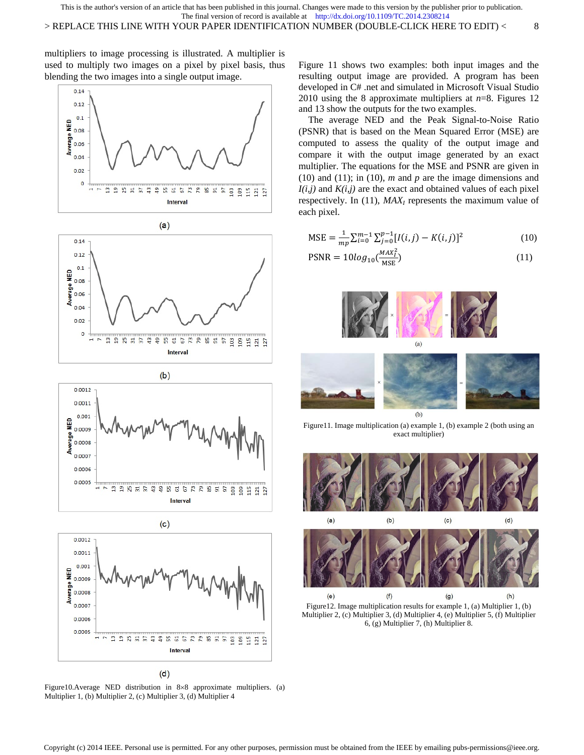multipliers to image processing is illustrated. A multiplier is used to multiply two images on a pixel by pixel basis, thus blending the two images into a single output image.









 $(d)$ 

Figure10.Average NED distribution in 8×8 approximate multipliers. (a) Multiplier 1, (b) Multiplier 2, (c) Multiplier 3, (d) Multiplier 4

Figure 11 shows two examples: both input images and the resulting output image are provided. A program has been developed in C# .net and simulated in Microsoft Visual Studio 2010 using the 8 approximate multipliers at *n*=8. Figures 12 and 13 show the outputs for the two examples.

The average NED and the Peak Signal-to-Noise Ratio (PSNR) that is based on the Mean Squared Error (MSE) are computed to assess the quality of the output image and compare it with the output image generated by an exact multiplier. The equations for the MSE and PSNR are given in (10) and (11); in (10), *m* and *p* are the image dimensions and  $I(i,j)$  and  $K(i,j)$  are the exact and obtained values of each pixel respectively. In (11), *MAX<sub>I</sub>* represents the maximum value of each pixel.

$$
\text{MSE} = \frac{1}{mp} \sum_{i=0}^{m-1} \sum_{j=0}^{p-1} [I(i,j) - K(i,j)]^2 \tag{10}
$$

$$
PSNR = 10log_{10}(\frac{MAX_I^2}{MSE})
$$
\n(11)





Figure11. Image multiplication (a) example 1, (b) example 2 (both using an exact multiplier)



 $(b)$  $(c)$  $(d)$  $(a)$ 



 $(f)$  $(e)$  $(g)$  $(h)$ Figure12. Image multiplication results for example 1, (a) Multiplier 1, (b) Multiplier 2, (c) Multiplier 3, (d) Multiplier 4, (e) Multiplier 5, (f) Multiplier 6, (g) Multiplier 7, (h) Multiplier 8.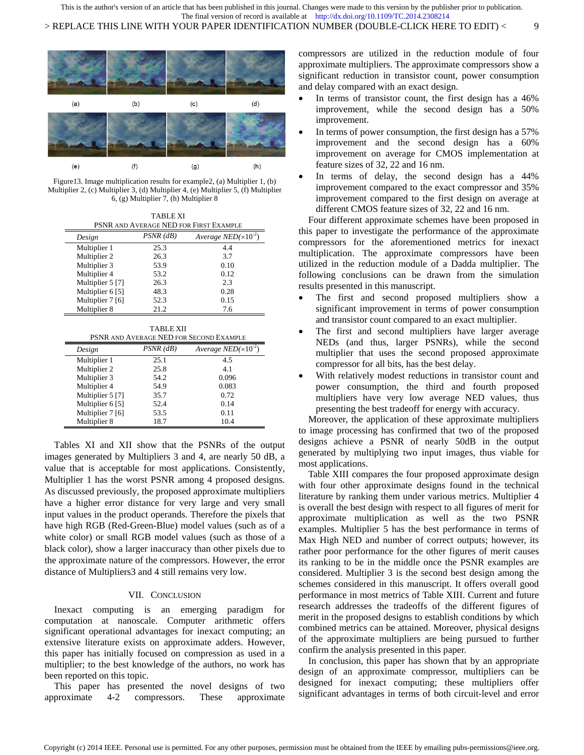> REPLACE THIS LINE WITH YOUR PAPER IDENTIFICATION NUMBER (DOUBLE-CLICK HERE TO EDIT) < 9



Figure13. Image multiplication results for example2, (a) Multiplier 1, (b) Multiplier 2, (c) Multiplier 3, (d) Multiplier 4, (e) Multiplier 5, (f) Multiplier 6, (g) Multiplier 7, (h) Multiplier 8

| <b>TABLE XI</b>                        |  |
|----------------------------------------|--|
| PSNR AND AVERAGE NED FOR FIRST EXAMPLE |  |

| Design           | $PSNR$ ( $dB$ ) | Average NED $(\times 10^{-2})$ |
|------------------|-----------------|--------------------------------|
| Multiplier 1     | 25.3            | 4.4                            |
| Multiplier 2     | 26.3            | 3.7                            |
| Multiplier 3     | 53.9            | 0.10                           |
| Multiplier 4     | 53.2            | 0.12                           |
| Multiplier 5 [7] | 26.3            | 2.3                            |
| Multiplier 6 [5] | 48.3            | 0.28                           |
| Multiplier 7 [6] | 52.3            | 0.15                           |
| Multiplier 8     | 21.2            | 7.6                            |

|  |  | PSNR AND AVERAGE NED FOR SECOND EXAMPLE |  |
|--|--|-----------------------------------------|--|
|  |  |                                         |  |

| Design           | $PSNR$ ( $dB$ ) | Average NED $(\times 10^{-2})$ |
|------------------|-----------------|--------------------------------|
| Multiplier 1     | 25.1            | 4.5                            |
| Multiplier 2     | 25.8            | 4.1                            |
| Multiplier 3     | 54.2            | 0.096                          |
| Multiplier 4     | 54.9            | 0.083                          |
| Multiplier 5 [7] | 35.7            | 0.72                           |
| Multiplier 6 [5] | 52.4            | 0.14                           |
| Multiplier 7 [6] | 53.5            | 0.11                           |
| Multiplier 8     | 18.7            | 10.4                           |

Tables XI and XII show that the PSNRs of the output images generated by Multipliers 3 and 4, are nearly 50 dB, a value that is acceptable for most applications. Consistently, Multiplier 1 has the worst PSNR among 4 proposed designs. As discussed previously, the proposed approximate multipliers have a higher error distance for very large and very small input values in the product operands. Therefore the pixels that have high RGB (Red-Green-Blue) model values (such as of a white color) or small RGB model values (such as those of a black color), show a larger inaccuracy than other pixels due to the approximate nature of the compressors. However, the error distance of Multipliers3 and 4 still remains very low.

#### VII. CONCLUSION

Inexact computing is an emerging paradigm for computation at nanoscale. Computer arithmetic offers significant operational advantages for inexact computing; an extensive literature exists on approximate adders. However, this paper has initially focused on compression as used in a multiplier; to the best knowledge of the authors, no work has been reported on this topic.

This paper has presented the novel designs of two approximate 4-2 compressors. These approximate compressors are utilized in the reduction module of four approximate multipliers. The approximate compressors show a significant reduction in transistor count, power consumption and delay compared with an exact design.

- In terms of transistor count, the first design has a 46% improvement, while the second design has a 50% improvement.
- In terms of power consumption, the first design has a  $57\%$ improvement and the second design has a 60% improvement on average for CMOS implementation at feature sizes of 32, 22 and 16 nm.
- In terms of delay, the second design has a 44% improvement compared to the exact compressor and 35% improvement compared to the first design on average at different CMOS feature sizes of 32, 22 and 16 nm.

Four different approximate schemes have been proposed in this paper to investigate the performance of the approximate compressors for the aforementioned metrics for inexact multiplication. The approximate compressors have been utilized in the reduction module of a Dadda multiplier. The following conclusions can be drawn from the simulation results presented in this manuscript.

- The first and second proposed multipliers show a significant improvement in terms of power consumption and transistor count compared to an exact multiplier.
- The first and second multipliers have larger average NEDs (and thus, larger PSNRs), while the second multiplier that uses the second proposed approximate compressor for all bits, has the best delay.
- With relatively modest reductions in transistor count and power consumption, the third and fourth proposed multipliers have very low average NED values, thus presenting the best tradeoff for energy with accuracy.

Moreover, the application of these approximate multipliers to image processing has confirmed that two of the proposed designs achieve a PSNR of nearly 50dB in the output generated by multiplying two input images, thus viable for most applications.

Table XIII compares the four proposed approximate design with four other approximate designs found in the technical literature by ranking them under various metrics. Multiplier 4 is overall the best design with respect to all figures of merit for approximate multiplication as well as the two PSNR examples. Multiplier 5 has the best performance in terms of Max High NED and number of correct outputs; however, its rather poor performance for the other figures of merit causes its ranking to be in the middle once the PSNR examples are considered. Multiplier 3 is the second best design among the schemes considered in this manuscript. It offers overall good performance in most metrics of Table XIII. Current and future research addresses the tradeoffs of the different figures of merit in the proposed designs to establish conditions by which combined metrics can be attained. Moreover, physical designs of the approximate multipliers are being pursued to further confirm the analysis presented in this paper.

In conclusion, this paper has shown that by an appropriate design of an approximate compressor, multipliers can be designed for inexact computing; these multipliers offer significant advantages in terms of both circuit-level and error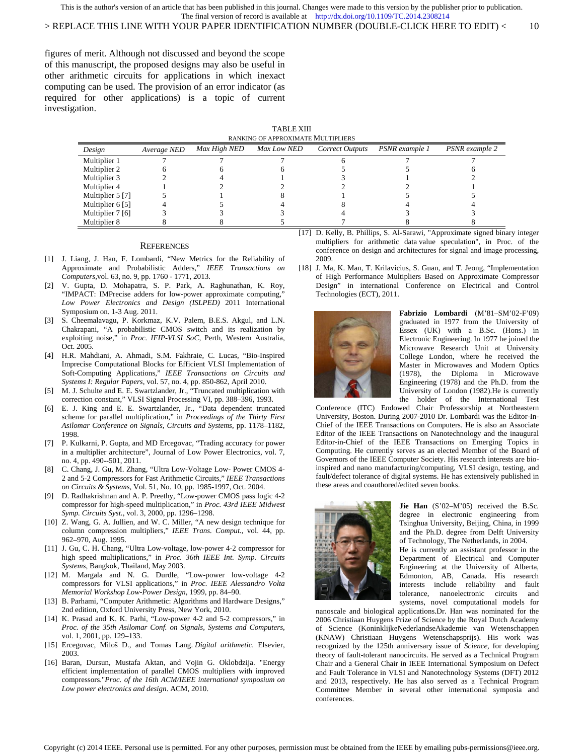## > REPLACE THIS LINE WITH YOUR PAPER IDENTIFICATION NUMBER (DOUBLE-CLICK HERE TO EDIT) < 10

figures of merit. Although not discussed and beyond the scope of this manuscript, the proposed designs may also be useful in other arithmetic circuits for applications in which inexact computing can be used. The provision of an error indicator (as required for other applications) is a topic of current investigation.

TABLE XIII RANKING OF APPROXIMATE MULTIPLIERS

| Design           | Average NED | Max High NED | Max Low NED | Correct Outputs | PSNR example 1 | PSNR example 2 |
|------------------|-------------|--------------|-------------|-----------------|----------------|----------------|
| Multiplier 1     |             |              |             |                 |                |                |
| Multiplier 2     |             |              |             |                 |                |                |
| Multiplier 3     |             |              |             |                 |                |                |
| Multiplier 4     |             |              |             |                 |                |                |
| Multiplier 5 [7] |             |              |             |                 |                |                |
| Multiplier 6 [5] |             |              |             |                 |                |                |
| Multiplier 7 [6] |             |              |             |                 |                |                |
| Multiplier 8     |             |              |             |                 |                |                |

#### **REFERENCES**

- [1] J. Liang, [J. Han](http://scholar.google.com/citations?user=vbayZ6gAAAAJ&hl=en&oi=sra), F. Lombardi, "New Metrics for the Reliability of Approximate and Probabilistic Adders," *IEEE Transactions on Computers,*vol. 63, no. 9, pp. 1760 - 1771, 2013.
- [2] V. Gupta, D. Mohapatra, S. P. Park, A. Raghunathan, K. Roy, "IMPACT: IMPrecise adders for low-power approximate computing," *Low Power Electronics and Design (ISLPED)* 2011 International Symposium on. 1-3 Aug. 2011.
- [3] S. Cheemalavagu, P. Korkmaz, K.V. Palem, B.E.S. Akgul, and L.N. Chakrapani, "A probabilistic CMOS switch and its realization by exploiting noise," in *Proc. IFIP-VLSI SoC*, Perth, Western Australia, Oct. 2005.
- [4] H.R. Mahdiani, A. Ahmadi, S.M. Fakhraie, C. Lucas, "Bio-Inspired Imprecise Computational Blocks for Efficient VLSI Implementation of Soft-Computing Applications," *IEEE Transactions on Circuits and Systems I: Regular Papers*, vol. 57, no. 4, pp. 850-862, April 2010.
- [5] M. J. Schulte and E. E. Swartzlander, Jr., "Truncated multiplication with correction constant," VLSI Signal Processing VI, pp. 388–396, 1993.
- [6] E. J. King and E. E. Swartzlander, Jr., "Data dependent truncated scheme for parallel multiplication," in *Proceedings of the Thirty First Asilomar Conference on Signals, Circuits and Systems*, pp. 1178–1182, 1998.
- [7] P. Kulkarni, P. Gupta, and MD Ercegovac, "Trading accuracy for power in a multiplier architecture", Journal of Low Power Electronics, vol. 7, no. 4, pp. 490--501, 2011.
- [8] C. Chang, J. Gu, M. Zhang, "Ultra Low-Voltage Low- Power CMOS 4- 2 and 5-2 Compressors for Fast Arithmetic Circuits," *IEEE Transactions on Circuits & Systems*, Vol. 51, No. 10, pp. 1985-1997, Oct. 2004.
- [9] D. Radhakrishnan and A. P. Preethy, "Low-power CMOS pass logic 4-2 compressor for high-speed multiplication," in *Proc. 43rd IEEE Midwest Symp. Circuits Syst.*, vol. 3, 2000, pp. 1296–1298.
- [10] Z. Wang, G. A. Jullien, and W. C. Miller, "A new design technique for column compression multipliers," *IEEE Trans. Comput.*, vol. 44, pp. 962–970, Aug. 1995.
- [11] J. Gu, C. H. Chang, "Ultra Low-voltage, low-power 4-2 compressor for high speed multiplications," in *Proc. 36th IEEE Int. Symp. Circuits Systems*, Bangkok, Thailand, May 2003.
- [12] M. Margala and N. G. Durdle, "Low-power low-voltage 4-2 compressors for VLSI applications," in *Proc. IEEE Alessandro Volta Memorial Workshop Low-Power Design*, 1999, pp. 84–90.
- [13] B. Parhami, "Computer Arithmetic: Algorithms and Hardware Designs," 2nd edition, Oxford University Press, New York, 2010.
- [14] K. Prasad and K. K. Parhi, "Low-power 4-2 and 5-2 compressors," in *Proc. of the 35th Asilomar Conf. on Signals, Systems and Computers*, vol. 1, 2001, pp. 129–133.
- [15] Ercegovac, Miloš D., and Tomas Lang. *Digital arithmetic*. Elsevier, 2003.
- [16] Baran, Dursun, Mustafa Aktan, and Vojin G. Oklobdzija. "Energy efficient implementation of parallel CMOS multipliers with improved compressors."*Proc. of the 16th ACM/IEEE international symposium on Low power electronics and design*. ACM, 2010.
- [17] D. Kelly, B. Phillips, S. Al-Sarawi, "Approximate signed binary integer multipliers for arithmetic data value speculation", in Proc. of the conference on design and architectures for signal and image processing, 2009.
- [18] J. Ma, K. Man, T. Krilavicius, S. Guan, and T. Jeong, "Implementation of High Performance Multipliers Based on Approximate Compressor Design" in international Conference on Electrical and Control Technologies (ECT), 2011.



**Fabrizio Lombardi** (M'81–SM'02-F'09) graduated in 1977 from the University of Essex (UK) with a B.Sc. (Hons.) in Electronic Engineering. In 1977 he joined the Microwave Research Unit at University College London, where he received the Master in Microwaves and Modern Optics (1978), the Diploma in Microwave Engineering (1978) and the Ph.D. from the University of London (1982).He is currently the holder of the International Test

Conference (ITC) Endowed Chair Professorship at Northeastern University, Boston. During 2007-2010 Dr. Lombardi was the Editor-In-Chief of the IEEE Transactions on Computers. He is also an Associate Editor of the IEEE Transactions on Nanotechnology and the inaugural Editor-in-Chief of the IEEE Transactions on Emerging Topics in Computing. He currently serves as an elected Member of the Board of Governors of the IEEE Computer Society. His research interests are bioinspired and nano manufacturing/computing, VLSI design, testing, and fault/defect tolerance of digital systems. He has extensively published in these areas and coauthored/edited seven books.



**Jie Han** (S'02–M'05) received the B.Sc. degree in electronic engineering from Tsinghua University, Beijing, China, in 1999 and the Ph.D. degree from Delft University of Technology, The Netherlands, in 2004. He is currently an assistant professor in the Department of Electrical and Computer Engineering at the University of Alberta, Edmonton, AB, Canada. His research interests include reliability and fault tolerance, nanoelectronic circuits and systems, novel computational models for

nanoscale and biological applications.Dr. Han was nominated for the 2006 Christiaan Huygens Prize of Science by the Royal Dutch Academy of Science (KoninklijkeNederlandseAkademie van Wetenschappen (KNAW) Christiaan Huygens Wetenschapsprijs). His work was recognized by the 125th anniversary issue of *Science*, for developing theory of fault-tolerant nanocircuits. He served as a Technical Program Chair and a General Chair in IEEE International Symposium on Defect and Fault Tolerance in VLSI and Nanotechnology Systems (DFT) 2012 and 2013, respectively. He has also served as a Technical Program Committee Member in several other international symposia and conferences.